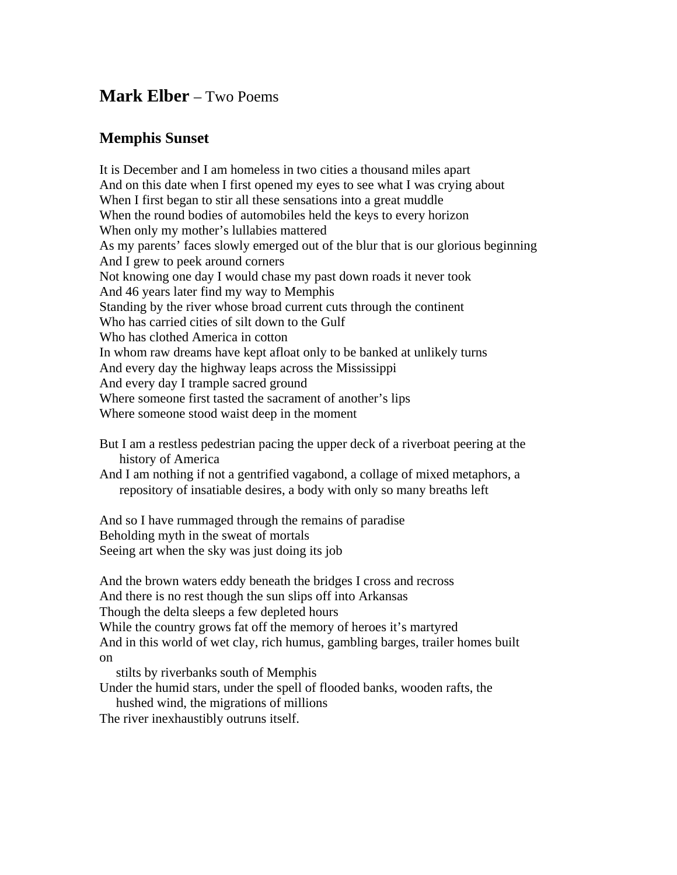## **Mark Elber** – Two Poems

## **Memphis Sunset**

It is December and I am homeless in two cities a thousand miles apart And on this date when I first opened my eyes to see what I was crying about When I first began to stir all these sensations into a great muddle When the round bodies of automobiles held the keys to every horizon When only my mother's lullabies mattered As my parents' faces slowly emerged out of the blur that is our glorious beginning And I grew to peek around corners Not knowing one day I would chase my past down roads it never took And 46 years later find my way to Memphis Standing by the river whose broad current cuts through the continent Who has carried cities of silt down to the Gulf Who has clothed America in cotton In whom raw dreams have kept afloat only to be banked at unlikely turns And every day the highway leaps across the Mississippi And every day I trample sacred ground Where someone first tasted the sacrament of another's lips Where someone stood waist deep in the moment

But I am a restless pedestrian pacing the upper deck of a riverboat peering at the history of America

And I am nothing if not a gentrified vagabond, a collage of mixed metaphors, a repository of insatiable desires, a body with only so many breaths left

And so I have rummaged through the remains of paradise Beholding myth in the sweat of mortals Seeing art when the sky was just doing its job

And the brown waters eddy beneath the bridges I cross and recross And there is no rest though the sun slips off into Arkansas Though the delta sleeps a few depleted hours While the country grows fat off the memory of heroes it's martyred And in this world of wet clay, rich humus, gambling barges, trailer homes built on

stilts by riverbanks south of Memphis

Under the humid stars, under the spell of flooded banks, wooden rafts, the

hushed wind, the migrations of millions

The river inexhaustibly outruns itself.